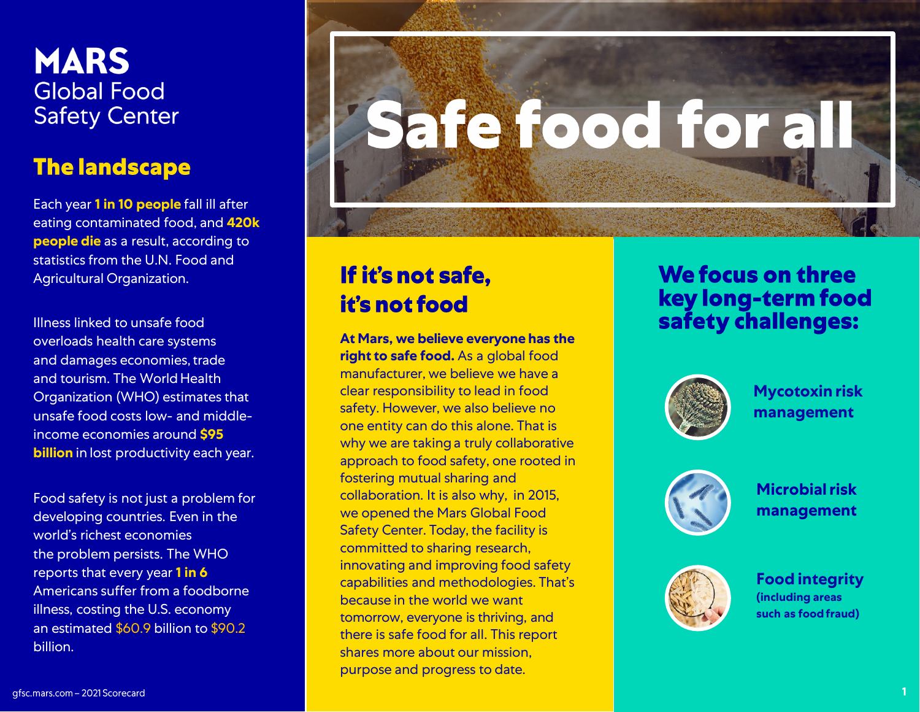#### **MARS Global Food Safety Center**

#### **The landscape**

Each year **1 in 10 people** fall ill after eating contaminated food, and **420k people die** as a result, according to statistics from the U.N. Food and Agricultural Organization.

Illness linked to unsafe food overloads health care systems and damages economies, trade and tourism. The World Health Organization (WHO) estimates that unsafe food costs low - and middle income economies around **\$95 billion** in lost productivity each year.

Food safety is not just a problem for developing countries. Even in the world's richest economies the problem persists. The WHO reports that every year **1 in 6**  Americans suffer from a foodborne illness, costing the U.S. economy an estimated \$60.9 billion to \$90.2 billion .

# Safe food for all

#### If it's not safe, it's not food

**At Mars, we believe everyone has the right to safe food.** As a global food manufacturer, we believe we have a clear responsibility to lead in food safety. However, we also believe no one entity can do this alone. That is why we are taking a truly collaborative approach to food safety, one rooted in fostering mutual sharing and collaboration. It is also why, in 2015, we opened the Mars Global Food Safety Center. Today, the facility is committed to sharing research, innovating and improving food safety capabilities and methodologies. That's because in the world we want tomorrow, everyone is thriving, and there is safe food for all. This report shares more about our mission, purpose and progress to date.

#### **We focus on three** key long-term food safety challenges:



**Mycotoxin risk management**



**Microbial risk management**



**Food integrity (including areas such as foodfraud)**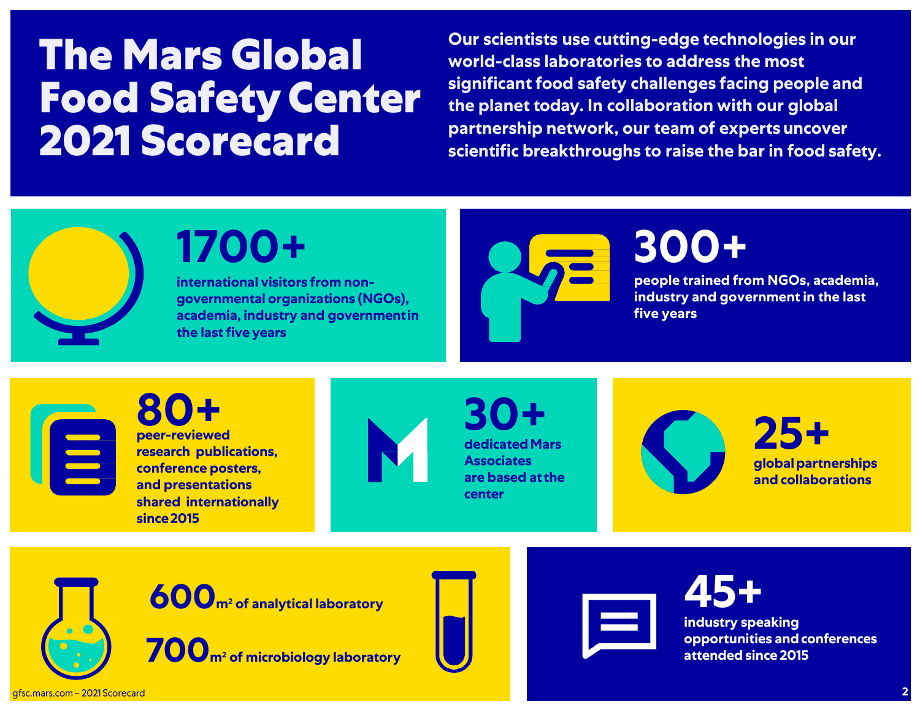## **The Mars Global Food Safety Center<br>2021 Scorecard**

**Our scientists use cutting-edge technologies in our world-class laboratories to address the most significant food safety challenges facing people and the planet today. In collaboration with our global partnership network, our team of expertsuncover scientific breakthroughs to raise the bar in food safety.**



E

### **1700+**

**international visitors from nongovernmental organizations (NGOs), academia, industry and governmentin the last five years**



## **300+**

**people trained from NGOs, academia, industry and government in the last five years**

**peer-reviewed 80+ research publications, conference posters, and presentations shared internationally since2015**



**dedicatedMars Associates are based atthe center 30+**



**globalpartnerships and collaborations 25+**

**600<sup>m</sup>2 of analytical laboratory**

**700<sup>m</sup>2 of microbiology laboratory**





**45+ industry speaking opportunities andconferences attended since 2015**

afsc.mars.com - 2021 Scorecard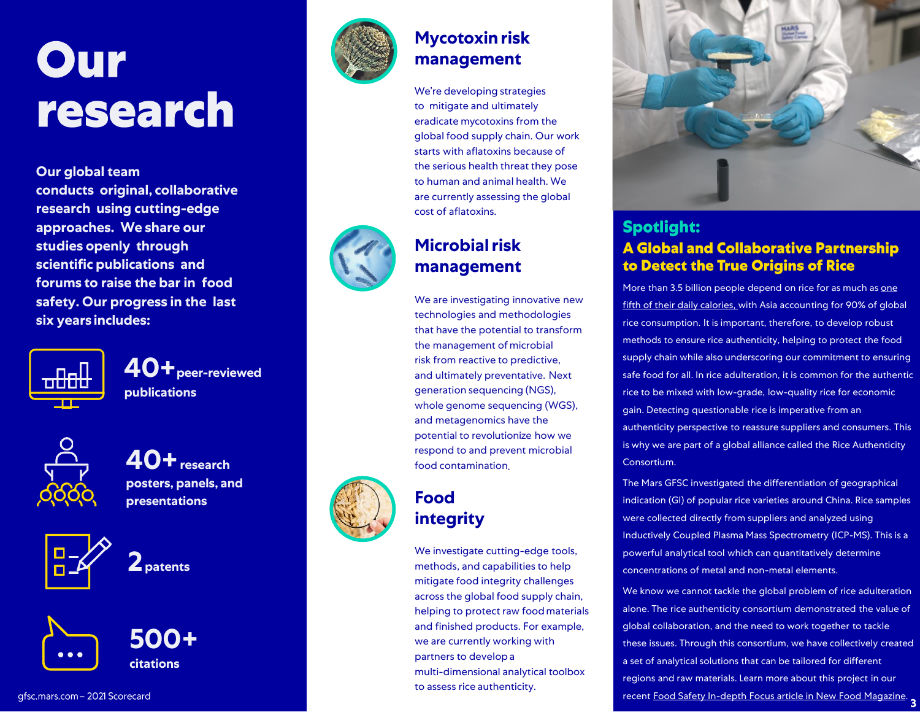## Our research

**Our global team conducts original, collaborative research using cutting -edge approaches. We share our studies openly through scientific publications and forums to raise the bar in food safety. Our progress in the last six years includes:**



**40+peer -reviewed publications**



**posters, panels, and presentations**



**2patents**





#### **Mycotoxin risk management**

We're developing strategies to mitigate and ultimately eradicate mycotoxins from the global food supply chain. Our work starts with aflatoxins because of the serious health threat they pose to human and animal health. We are currently assessing the global cost of aflatoxins.

#### **Microbial risk management**

We are investigating innovative new technologies and methodologies that have the potential to transform the management of microbial risk from reactive to predictive , and ultimately preventative. Next generation sequencing (NGS), whole genome sequencing (WGS) , and metagenomics have the potential to revolutionize how we **40+** research **food contamination 40+** respond to and prevent microbial food contamination.

#### **Food**  integrity

We investigate cutting -edge tools, methods , and capabilities to help mitigate food integrity challenges across the global food supply chain, helping to protect raw foodmaterials and finished products. For example, we are currently working with partners to develop a multi -dimensional analytical toolbox to assess rice authenticity.



#### **Spotlight: A Global and Collaborative Partnership** to Detect the True Origins of Rice

More than 3.5 billion people depend on rice for as much as one [fifth of their daily calories, with Asia](https://www.scirp.org/(S(351jmbntvnsjt1aadkposzje))/reference/ReferencesPapers.aspx?ReferenceID=1568667) accounting for 90% of global rice consumption. It is important, therefore, to develop robust methods to ensure rice authenticity, helping to protect the food supply chain while also underscoring our commitment to ensuring safe food for all. In rice adulteration, it is common for the authentic rice to be mixed with low -grade, low -quality rice for economic gain. Detecting questionable rice is imperative from an authenticity perspective to reassure suppliers and consumers. This is why we are part of a global alliance called the Rice Authenticity Consortium.

The Mars GFSC investigated the differentiation of geographical indication (GI) of popular rice varieties around China. Rice samples were collected directly from suppliers and analyzed using Inductively Coupled Plasma Mass Spectrometry (ICP -MS). This is a powerful analytical tool which can quantitatively determine concentrations of metal and non -metal elements.

We know we cannot tackle the global problem of rice adulteration alone. The rice authenticity consortium demonstrated the value of global collaboration, and the need to work together to tackle these issues. Through this consortium, we have collectively created a set of analytical solutions that can be tailored for different regions and raw materials. Learn more about this project in our recent Food Safety In [-depth Focus article in New Food Magazine](https://www.newfoodmagazine.com/article/138260/food-safety-in-depth-focus/) . **3**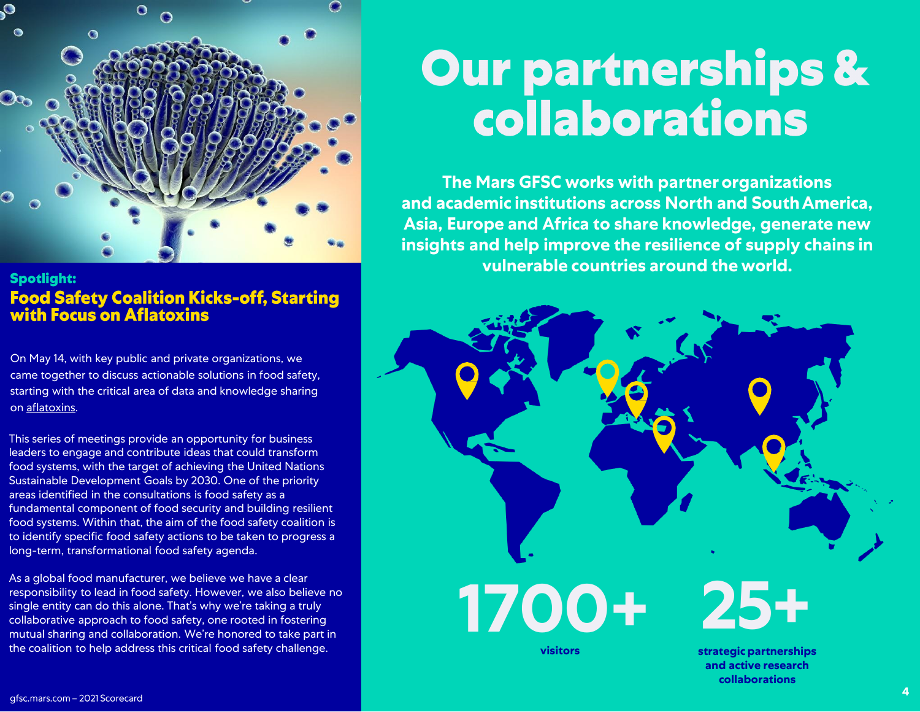

**Spotlight:** Food Safety Coalition Kicks-off, Starting<br>with Focus on Aflatoxins

On May 14, with key public and private organizations, we came together to discuss actionable solutions in food safety, starting with the critical area of data and knowledge sharing on [aflatoxins.](https://gfsc.mars.com/mycotoxin-risk-management)

This series of meetings provide an opportunity for business leaders to engage and contribute ideas that could transform food systems, with the target of achieving the United Nations Sustainable Development Goals by 2030. One of the priority areas identified in the consultations is food safety as a fundamental component of food security and building resilient food systems. Within that, the aim of the food safety coalition is to identify specific food safety actions to be taken to progress a long-term, transformational food safety agenda.

As a global food manufacturer, we believe we have a clear responsibility to lead in food safety. However, we also believe no single entity can do this alone. That's why we're taking a truly collaborative approach to food safety, one rooted in fostering mutual sharing and collaboration. We're honored to take part in the coalition to help address this critical food safety challenge.

## **Our partnerships &** collaborations

**The Mars GFSC works with partnerorganizations and academic institutions across North and SouthAmerica, Asia, Europe and Africa to share knowledge, generate new insights and help improve the resilience of supply chains in vulnerable countries around the world.**



**visitors**

**strategic partnerships and active research collaborations**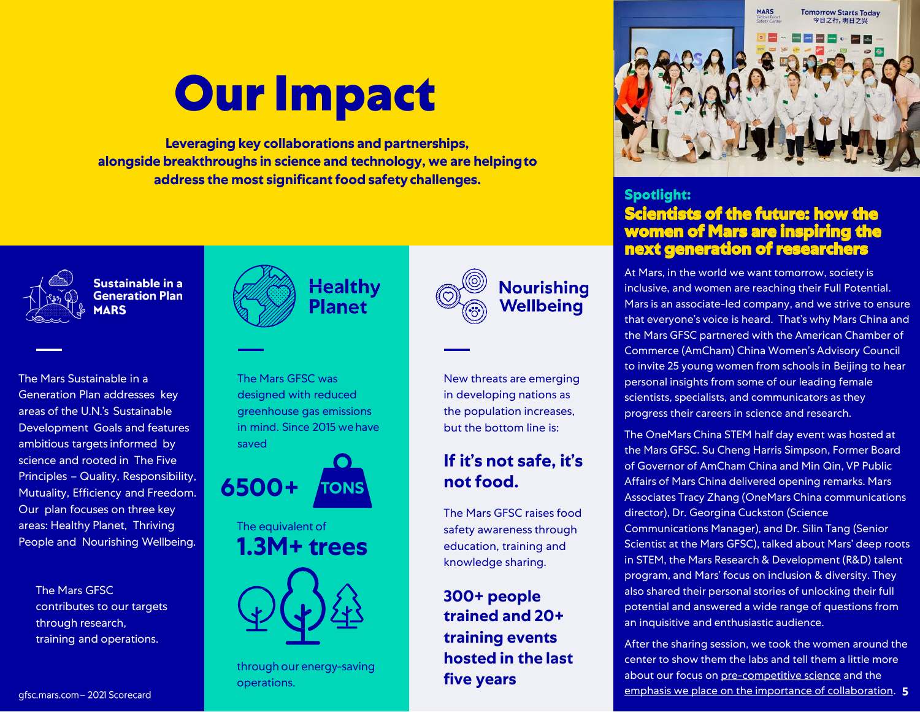## **Our Impact**

**Leveraging key collaborations and partnerships, alongside breakthroughs in science and technology, we are helpingto address the most significant food safetychallenges.**



Sustainable in a **Generation Plan AARS** 

The Mars Sustainable in a Generation Plan addresses key areas of the U.N.'s Sustainable Development Goals and features ambitious targets informed by science and rooted in The Five Principles – Quality, Responsibility, Mutuality, Efficiency and Freedom. Our plan focuses on three key areas: Healthy Planet, Thriving People and Nourishing Wellbeing.

The Mars GFSC contributes to our targets through research, training and operations.



**Healthy Planet** 

The Mars GFSC was designed with reduced greenhouse gas emissions in mind. Since 2015 wehave saved



The equivalent of **1.3M+ trees**



through our energy-saving operations.



#### **Spotlight:**

New threats are emerging in developing nations as the population increases, but the bottom line is:

**Nourishing** 

Wellbeina

**If it's not safe, it's** 

The Mars GFSC raises food safety awareness through education, training and knowledge sharing.

**not food.**

**300+ people trained and 20+** 

**training events hosted in the last** 

**five years**

#### **Scientists of the future: how the women of Mars are inspiring the next generation of researchers**

At Mars, in the world we want tomorrow, society is inclusive, and women are reaching their Full Potential. Mars is an associate-led company, and we strive to ensure that everyone's voice is heard. That's why Mars China and the Mars GFSC partnered with the American Chamber of Commerce (AmCham) China Women's Advisory Council to invite 25 young women from schools in Beijing to hear personal insights from some of our leading female scientists, specialists, and communicators as they progress their careers in science and research.

The OneMars China STEM half day event was hosted at the Mars GFSC. Su Cheng Harris Simpson, Former Board of Governor of AmCham China and Min Qin, VP Public Affairs of Mars China delivered opening remarks. Mars Associates Tracy Zhang (OneMars China communications director), Dr. Georgina Cuckston (Science Communications Manager), and Dr. Silin Tang (Senior Scientist at the Mars GFSC), talked about Mars' deep roots in STEM, the Mars Research & Development (R&D) talent program, and Mars' focus on inclusion & diversity. They also shared their personal stories of unlocking their full potential and answered a wide range of questions from an inquisitive and enthusiastic audience.

After the sharing session, we took the women around the center to show them the labs and tell them a little more about our focus on [pre-competitive science](https://gfsc.mars.com/publications) and the [emphasis we place on the importance of collaboration.](https://gfsc.mars.com/home-page-foodintegrity-capability-building/building-international-collaboration-mechanisms-focus) **5**